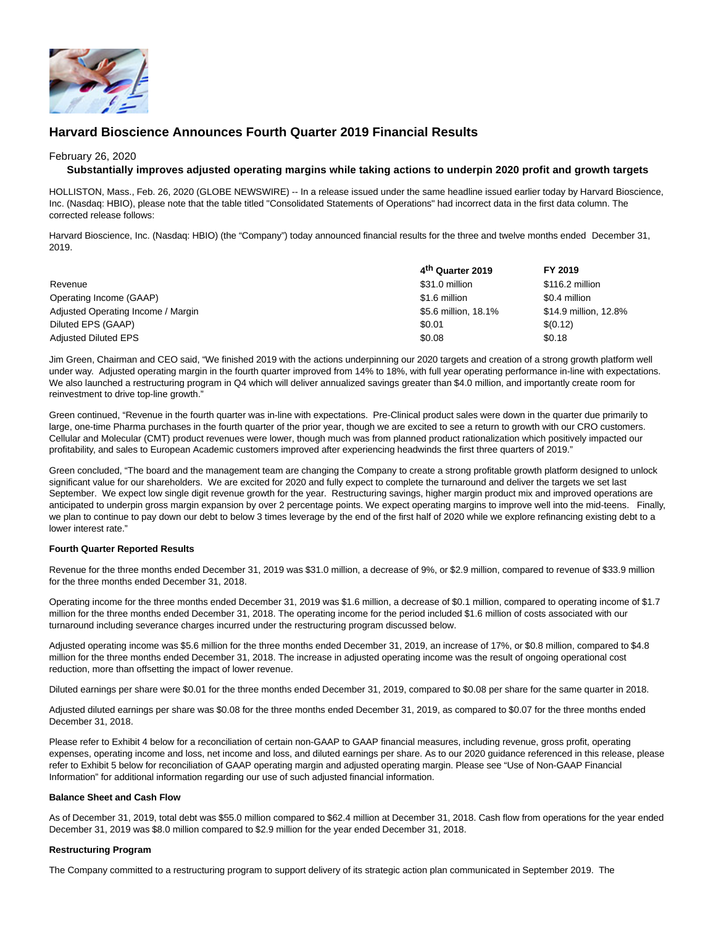

# **Harvard Bioscience Announces Fourth Quarter 2019 Financial Results**

### February 26, 2020

### **Substantially improves adjusted operating margins while taking actions to underpin 2020 profit and growth targets**

HOLLISTON, Mass., Feb. 26, 2020 (GLOBE NEWSWIRE) -- In a release issued under the same headline issued earlier today by Harvard Bioscience, Inc. (Nasdaq: HBIO), please note that the table titled "Consolidated Statements of Operations" had incorrect data in the first data column. The corrected release follows:

Harvard Bioscience, Inc. (Nasdaq: HBIO) (the "Company") today announced financial results for the three and twelve months ended December 31, 2019.

|                                    | 4 <sup>th</sup> Quarter 2019 | FY 2019               |
|------------------------------------|------------------------------|-----------------------|
| Revenue                            | \$31.0 million               | \$116.2 million       |
| Operating Income (GAAP)            | \$1.6 million                | \$0.4 million         |
| Adjusted Operating Income / Margin | \$5.6 million, 18.1%         | \$14.9 million, 12.8% |
| Diluted EPS (GAAP)                 | \$0.01                       | \$(0.12)              |
| <b>Adjusted Diluted EPS</b>        | \$0.08                       | \$0.18                |

Jim Green, Chairman and CEO said, "We finished 2019 with the actions underpinning our 2020 targets and creation of a strong growth platform well under way. Adjusted operating margin in the fourth quarter improved from 14% to 18%, with full year operating performance in-line with expectations. We also launched a restructuring program in Q4 which will deliver annualized savings greater than \$4.0 million, and importantly create room for reinvestment to drive top-line growth."

Green continued, "Revenue in the fourth quarter was in-line with expectations. Pre-Clinical product sales were down in the quarter due primarily to large, one-time Pharma purchases in the fourth quarter of the prior year, though we are excited to see a return to growth with our CRO customers. Cellular and Molecular (CMT) product revenues were lower, though much was from planned product rationalization which positively impacted our profitability, and sales to European Academic customers improved after experiencing headwinds the first three quarters of 2019."

Green concluded, "The board and the management team are changing the Company to create a strong profitable growth platform designed to unlock significant value for our shareholders. We are excited for 2020 and fully expect to complete the turnaround and deliver the targets we set last September. We expect low single digit revenue growth for the year. Restructuring savings, higher margin product mix and improved operations are anticipated to underpin gross margin expansion by over 2 percentage points. We expect operating margins to improve well into the mid-teens. Finally, we plan to continue to pay down our debt to below 3 times leverage by the end of the first half of 2020 while we explore refinancing existing debt to a lower interest rate."

### **Fourth Quarter Reported Results**

Revenue for the three months ended December 31, 2019 was \$31.0 million, a decrease of 9%, or \$2.9 million, compared to revenue of \$33.9 million for the three months ended December 31, 2018.

Operating income for the three months ended December 31, 2019 was \$1.6 million, a decrease of \$0.1 million, compared to operating income of \$1.7 million for the three months ended December 31, 2018. The operating income for the period included \$1.6 million of costs associated with our turnaround including severance charges incurred under the restructuring program discussed below.

Adjusted operating income was \$5.6 million for the three months ended December 31, 2019, an increase of 17%, or \$0.8 million, compared to \$4.8 million for the three months ended December 31, 2018. The increase in adjusted operating income was the result of ongoing operational cost reduction, more than offsetting the impact of lower revenue.

Diluted earnings per share were \$0.01 for the three months ended December 31, 2019, compared to \$0.08 per share for the same quarter in 2018.

Adjusted diluted earnings per share was \$0.08 for the three months ended December 31, 2019, as compared to \$0.07 for the three months ended December 31, 2018.

Please refer to Exhibit 4 below for a reconciliation of certain non-GAAP to GAAP financial measures, including revenue, gross profit, operating expenses, operating income and loss, net income and loss, and diluted earnings per share. As to our 2020 guidance referenced in this release, please refer to Exhibit 5 below for reconciliation of GAAP operating margin and adjusted operating margin. Please see "Use of Non-GAAP Financial Information" for additional information regarding our use of such adjusted financial information.

### **Balance Sheet and Cash Flow**

As of December 31, 2019, total debt was \$55.0 million compared to \$62.4 million at December 31, 2018. Cash flow from operations for the year ended December 31, 2019 was \$8.0 million compared to \$2.9 million for the year ended December 31, 2018.

### **Restructuring Program**

The Company committed to a restructuring program to support delivery of its strategic action plan communicated in September 2019. The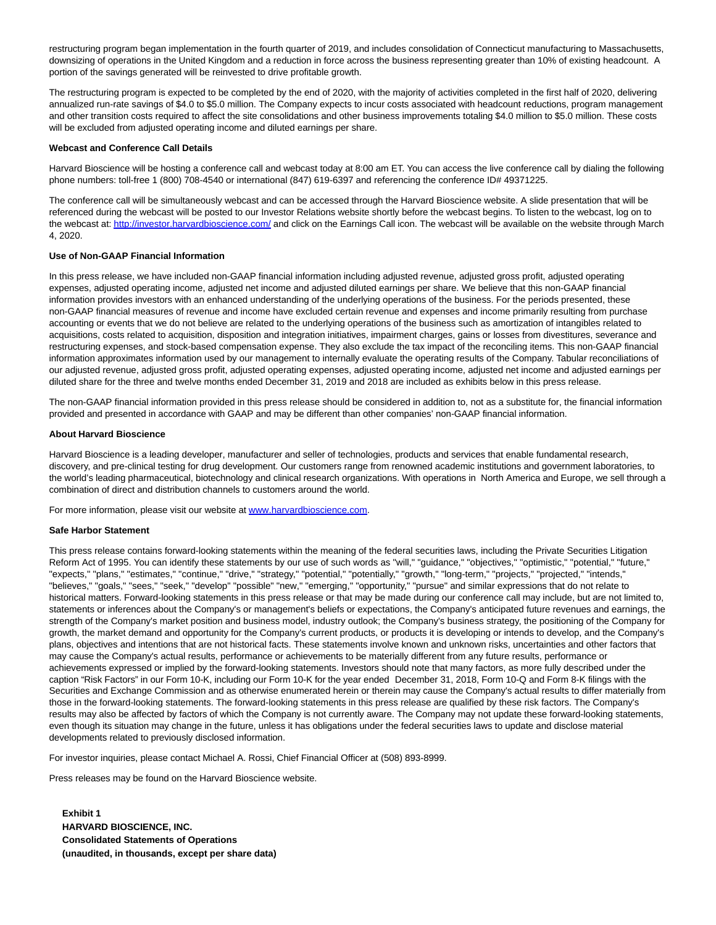restructuring program began implementation in the fourth quarter of 2019, and includes consolidation of Connecticut manufacturing to Massachusetts, downsizing of operations in the United Kingdom and a reduction in force across the business representing greater than 10% of existing headcount. A portion of the savings generated will be reinvested to drive profitable growth.

The restructuring program is expected to be completed by the end of 2020, with the majority of activities completed in the first half of 2020, delivering annualized run-rate savings of \$4.0 to \$5.0 million. The Company expects to incur costs associated with headcount reductions, program management and other transition costs required to affect the site consolidations and other business improvements totaling \$4.0 million to \$5.0 million. These costs will be excluded from adjusted operating income and diluted earnings per share.

#### **Webcast and Conference Call Details**

Harvard Bioscience will be hosting a conference call and webcast today at 8:00 am ET. You can access the live conference call by dialing the following phone numbers: toll-free 1 (800) 708-4540 or international (847) 619-6397 and referencing the conference ID# 49371225.

The conference call will be simultaneously webcast and can be accessed through the Harvard Bioscience website. A slide presentation that will be referenced during the webcast will be posted to our Investor Relations website shortly before the webcast begins. To listen to the webcast, log on to the webcast at[: http://investor.harvardbioscience.com/ a](http://investor.harvardbioscience.com/)nd click on the Earnings Call icon. The webcast will be available on the website through March 4, 2020.

#### **Use of Non-GAAP Financial Information**

In this press release, we have included non-GAAP financial information including adjusted revenue, adjusted gross profit, adjusted operating expenses, adjusted operating income, adjusted net income and adjusted diluted earnings per share. We believe that this non-GAAP financial information provides investors with an enhanced understanding of the underlying operations of the business. For the periods presented, these non-GAAP financial measures of revenue and income have excluded certain revenue and expenses and income primarily resulting from purchase accounting or events that we do not believe are related to the underlying operations of the business such as amortization of intangibles related to acquisitions, costs related to acquisition, disposition and integration initiatives, impairment charges, gains or losses from divestitures, severance and restructuring expenses, and stock-based compensation expense. They also exclude the tax impact of the reconciling items. This non-GAAP financial information approximates information used by our management to internally evaluate the operating results of the Company. Tabular reconciliations of our adjusted revenue, adjusted gross profit, adjusted operating expenses, adjusted operating income, adjusted net income and adjusted earnings per diluted share for the three and twelve months ended December 31, 2019 and 2018 are included as exhibits below in this press release.

The non-GAAP financial information provided in this press release should be considered in addition to, not as a substitute for, the financial information provided and presented in accordance with GAAP and may be different than other companies' non-GAAP financial information.

#### **About Harvard Bioscience**

Harvard Bioscience is a leading developer, manufacturer and seller of technologies, products and services that enable fundamental research, discovery, and pre-clinical testing for drug development. Our customers range from renowned academic institutions and government laboratories, to the world's leading pharmaceutical, biotechnology and clinical research organizations. With operations in North America and Europe, we sell through a combination of direct and distribution channels to customers around the world.

For more information, please visit our website at [www.harvardbioscience.com.](https://www.globenewswire.com/Tracker?data=jTgyOmKn-bOU7icVSHL80GVWQB8MQF89b0FdeKkrfehl5rTd6A9-3PGPhPjRoajGkhaxaB6wemKi4OEcmHWwXc6pRojm3-1-ctBUfZcSHpI=)

#### **Safe Harbor Statement**

This press release contains forward-looking statements within the meaning of the federal securities laws, including the Private Securities Litigation Reform Act of 1995. You can identify these statements by our use of such words as "will," "guidance," "objectives," "optimistic," "potential," "future," "expects," "plans," "estimates," "continue," "drive," "strategy," "potential," "potentially," "growth," "long-term," "projects," "projected," "intends," "believes," "goals," "sees," "seek," "develop" "possible" "new," "emerging," "opportunity," "pursue" and similar expressions that do not relate to historical matters. Forward-looking statements in this press release or that may be made during our conference call may include, but are not limited to, statements or inferences about the Company's or management's beliefs or expectations, the Company's anticipated future revenues and earnings, the strength of the Company's market position and business model, industry outlook; the Company's business strategy, the positioning of the Company for growth, the market demand and opportunity for the Company's current products, or products it is developing or intends to develop, and the Company's plans, objectives and intentions that are not historical facts. These statements involve known and unknown risks, uncertainties and other factors that may cause the Company's actual results, performance or achievements to be materially different from any future results, performance or achievements expressed or implied by the forward-looking statements. Investors should note that many factors, as more fully described under the caption "Risk Factors" in our Form 10-K, including our Form 10-K for the year ended December 31, 2018, Form 10-Q and Form 8-K filings with the Securities and Exchange Commission and as otherwise enumerated herein or therein may cause the Company's actual results to differ materially from those in the forward-looking statements. The forward-looking statements in this press release are qualified by these risk factors. The Company's results may also be affected by factors of which the Company is not currently aware. The Company may not update these forward-looking statements, even though its situation may change in the future, unless it has obligations under the federal securities laws to update and disclose material developments related to previously disclosed information.

For investor inquiries, please contact Michael A. Rossi, Chief Financial Officer at (508) 893-8999.

Press releases may be found on the Harvard Bioscience website.

**Exhibit 1 HARVARD BIOSCIENCE, INC. Consolidated Statements of Operations (unaudited, in thousands, except per share data)**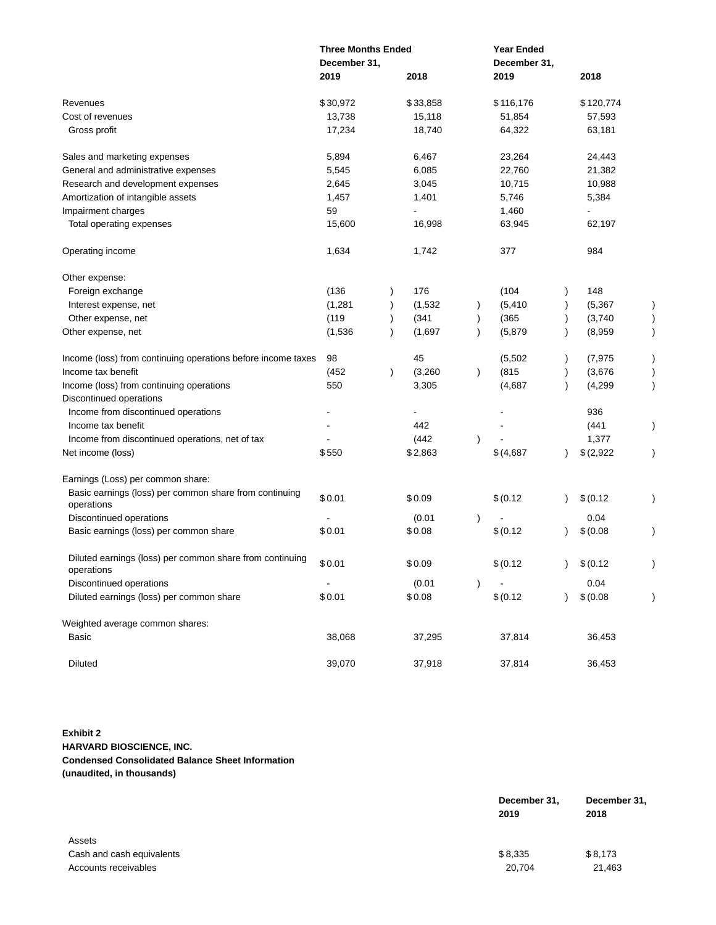|                                                                        | <b>Three Months Ended</b><br>December 31, |           |          |               | <b>Year Ended</b><br>December 31, |           |           |  |
|------------------------------------------------------------------------|-------------------------------------------|-----------|----------|---------------|-----------------------------------|-----------|-----------|--|
|                                                                        | 2019                                      |           | 2018     |               | 2019                              |           | 2018      |  |
| Revenues                                                               | \$30,972                                  |           | \$33,858 |               | \$116,176                         |           | \$120,774 |  |
| Cost of revenues                                                       | 13,738                                    |           | 15,118   |               | 51,854                            |           | 57,593    |  |
| Gross profit                                                           | 17,234                                    |           | 18,740   |               | 64,322                            |           | 63,181    |  |
| Sales and marketing expenses                                           | 5,894                                     |           | 6,467    |               | 23,264                            |           | 24,443    |  |
| General and administrative expenses                                    | 5,545                                     |           | 6,085    |               | 22,760                            |           | 21,382    |  |
| Research and development expenses                                      | 2,645                                     |           | 3,045    |               | 10,715                            |           | 10,988    |  |
| Amortization of intangible assets                                      | 1,457                                     |           | 1,401    |               | 5,746                             |           | 5,384     |  |
| Impairment charges                                                     | 59                                        |           |          |               | 1,460                             |           |           |  |
| Total operating expenses                                               | 15,600                                    |           | 16,998   |               | 63,945                            |           | 62,197    |  |
| Operating income                                                       | 1,634                                     |           | 1,742    |               | 377                               |           | 984       |  |
| Other expense:                                                         |                                           |           |          |               |                                   |           |           |  |
| Foreign exchange                                                       | (136)                                     |           | 176      |               | (104)                             |           | 148       |  |
| Interest expense, net                                                  | (1,281)                                   |           | (1,532)  | $\lambda$     | (5, 410)                          |           | (5, 367)  |  |
| Other expense, net                                                     | (119)                                     |           | (341)    | $\lambda$     | (365)                             |           | (3,740)   |  |
| Other expense, net                                                     | (1,536)                                   | $\lambda$ | (1,697)  | $\lambda$     | (5,879)                           |           | (8,959)   |  |
| Income (loss) from continuing operations before income taxes           | 98                                        |           | 45       |               | (5,502)                           |           | (7, 975)  |  |
| Income tax benefit                                                     | (452)                                     | $\lambda$ | (3,260)  | $\lambda$     | (815)                             |           | (3,676)   |  |
| Income (loss) from continuing operations                               | 550                                       |           | 3,305    |               | (4,687)                           | $\lambda$ | (4,299)   |  |
| Discontinued operations                                                |                                           |           |          |               |                                   |           |           |  |
| Income from discontinued operations                                    |                                           |           |          |               |                                   |           | 936       |  |
| Income tax benefit                                                     |                                           |           | 442      |               |                                   |           | (441)     |  |
| Income from discontinued operations, net of tax                        |                                           |           | (442)    | $\lambda$     |                                   |           | 1,377     |  |
| Net income (loss)                                                      | \$550                                     |           | \$2,863  |               | \$(4,687)                         |           | \$(2,922) |  |
| Earnings (Loss) per common share:                                      |                                           |           |          |               |                                   |           |           |  |
| Basic earnings (loss) per common share from continuing<br>operations   | \$0.01                                    |           | \$0.09   |               | \$ (0.12)                         |           | \$ (0.12) |  |
| Discontinued operations                                                |                                           |           | (0.01)   | $\mathcal{E}$ |                                   |           | 0.04      |  |
| Basic earnings (loss) per common share                                 | \$0.01                                    |           | \$0.08   |               | \$ (0.12)                         |           | \$ (0.08) |  |
| Diluted earnings (loss) per common share from continuing<br>operations | \$0.01                                    |           | \$0.09   |               | \$ (0.12)                         | $\lambda$ | \$ (0.12) |  |
| Discontinued operations                                                |                                           |           | (0.01)   | $\lambda$     |                                   |           | 0.04      |  |
| Diluted earnings (loss) per common share                               | \$0.01                                    |           | \$0.08   |               | \$ (0.12)                         |           | \$ (0.08) |  |
| Weighted average common shares:                                        |                                           |           |          |               |                                   |           |           |  |
| Basic                                                                  | 38,068                                    |           | 37,295   |               | 37,814                            |           | 36,453    |  |
| <b>Diluted</b>                                                         | 39,070                                    |           | 37,918   |               | 37,814                            |           | 36,453    |  |

# **Exhibit 2 HARVARD BIOSCIENCE, INC. Condensed Consolidated Balance Sheet Information (unaudited, in thousands)**

|                           | December 31, | December 31, |  |
|---------------------------|--------------|--------------|--|
|                           | 2019         | 2018         |  |
| Assets                    |              |              |  |
| Cash and cash equivalents | \$8,335      | \$8,173      |  |
| Accounts receivables      | 20.704       | 21,463       |  |
|                           |              |              |  |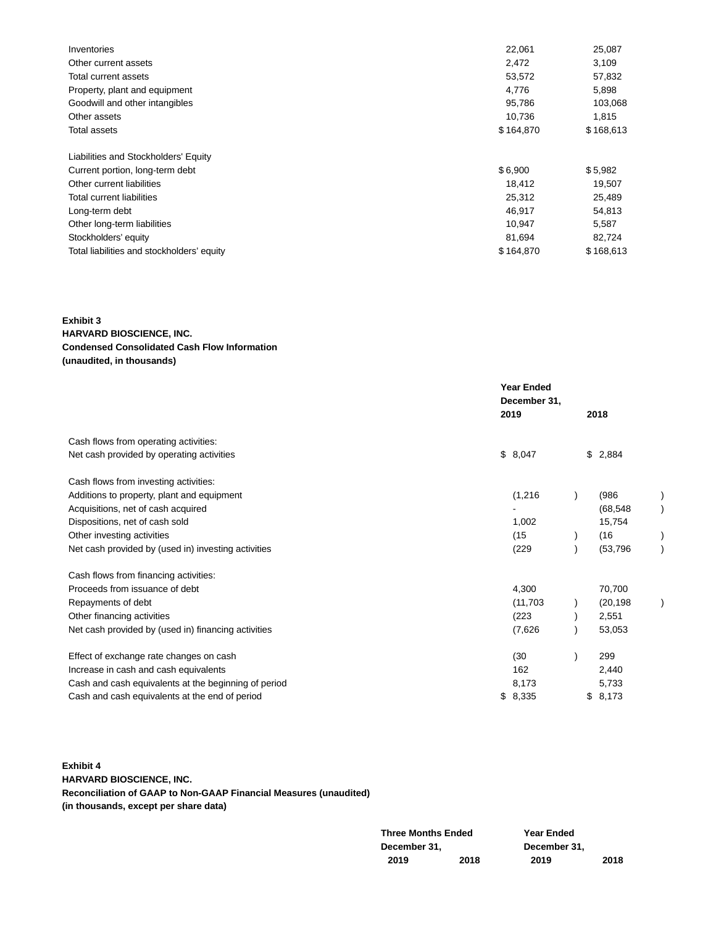| Inventories                                | 22,061    | 25,087    |
|--------------------------------------------|-----------|-----------|
| Other current assets                       | 2,472     | 3,109     |
| Total current assets                       | 53,572    | 57,832    |
| Property, plant and equipment              | 4.776     | 5,898     |
| Goodwill and other intangibles             | 95,786    | 103,068   |
| Other assets                               | 10,736    | 1,815     |
| Total assets                               | \$164,870 | \$168,613 |
| Liabilities and Stockholders' Equity       |           |           |
| Current portion, long-term debt            | \$6,900   | \$5,982   |
| Other current liabilities                  | 18,412    | 19,507    |
| Total current liabilities                  | 25,312    | 25,489    |
| Long-term debt                             | 46,917    | 54,813    |
| Other long-term liabilities                | 10,947    | 5,587     |
| Stockholders' equity                       | 81,694    | 82,724    |
| Total liabilities and stockholders' equity | \$164,870 | \$168,613 |

**Exhibit 3**

### **HARVARD BIOSCIENCE, INC. Condensed Consolidated Cash Flow Information (unaudited, in thousands)**

|             |                                                          | 2018      |                   |  |
|-------------|----------------------------------------------------------|-----------|-------------------|--|
|             |                                                          |           |                   |  |
|             |                                                          |           |                   |  |
|             |                                                          |           |                   |  |
| (1,216)     |                                                          | (986)     |                   |  |
|             |                                                          | (68, 548) |                   |  |
| 1,002       |                                                          | 15,754    |                   |  |
| (15)        |                                                          | (16)      |                   |  |
| (229)       |                                                          | (53, 796) |                   |  |
|             |                                                          |           |                   |  |
| 4,300       |                                                          | 70,700    |                   |  |
| (11,703)    |                                                          | (20, 198) |                   |  |
| (223)       |                                                          | 2,551     |                   |  |
| (7,626)     |                                                          | 53,053    |                   |  |
| (30)        |                                                          | 299       |                   |  |
| 162         |                                                          | 2,440     |                   |  |
| 8,173       |                                                          | 5,733     |                   |  |
| \$<br>8,335 |                                                          | 8,173     |                   |  |
|             | <b>Year Ended</b><br>December 31,<br>2019<br>\$<br>8,047 |           | \$<br>2,884<br>\$ |  |

# **Exhibit 4 HARVARD BIOSCIENCE, INC. Reconciliation of GAAP to Non-GAAP Financial Measures (unaudited) (in thousands, except per share data)**

| <b>Three Months Ended</b> |      | <b>Year Ended</b> |      |
|---------------------------|------|-------------------|------|
| December 31,              |      | December 31.      |      |
| 2019                      | 2018 | 2019              | 2018 |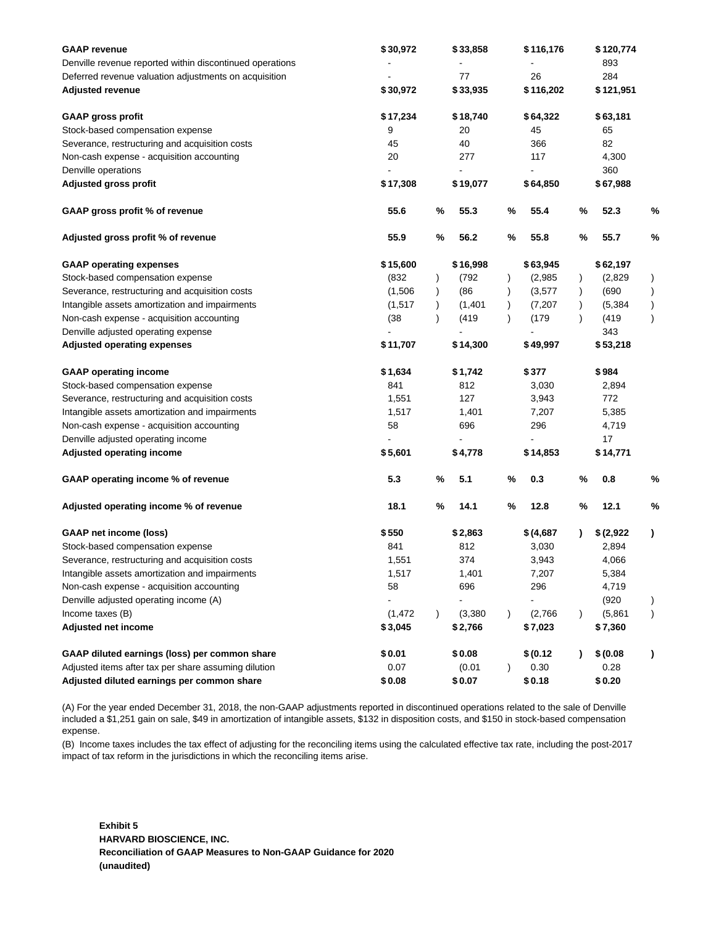| <b>GAAP</b> revenue<br>Denville revenue reported within discontinued operations<br>Deferred revenue valuation adjustments on acquisition<br><b>Adjusted revenue</b> | \$30,972<br>\$30,972 |           | \$33,858<br>77<br>\$33,935 |               | \$116,176<br>26<br>\$116,202 |   | \$120,774<br>893<br>284<br>\$121,951 |               |
|---------------------------------------------------------------------------------------------------------------------------------------------------------------------|----------------------|-----------|----------------------------|---------------|------------------------------|---|--------------------------------------|---------------|
| <b>GAAP gross profit</b>                                                                                                                                            | \$17,234             |           | \$18,740                   |               | \$64,322                     |   | \$63,181                             |               |
| Stock-based compensation expense                                                                                                                                    | 9                    |           | 20                         |               | 45                           |   | 65                                   |               |
| Severance, restructuring and acquisition costs                                                                                                                      | 45                   |           | 40                         |               | 366                          |   | 82                                   |               |
| Non-cash expense - acquisition accounting                                                                                                                           | 20                   |           | 277                        |               | 117                          |   | 4,300                                |               |
| Denville operations                                                                                                                                                 |                      |           |                            |               |                              |   | 360                                  |               |
| <b>Adjusted gross profit</b>                                                                                                                                        | \$17,308             |           | \$19,077                   |               | \$64,850                     |   | \$67,988                             |               |
| GAAP gross profit % of revenue                                                                                                                                      | 55.6                 | %         | 55.3                       | %             | 55.4                         | % | 52.3                                 | %             |
| Adjusted gross profit % of revenue                                                                                                                                  | 55.9                 | $\%$      | 56.2                       | $\%$          | 55.8                         | % | 55.7                                 | %             |
| <b>GAAP operating expenses</b>                                                                                                                                      | \$15,600             |           | \$16,998                   |               | \$63,945                     |   | \$62,197                             |               |
| Stock-based compensation expense                                                                                                                                    | (832)                | $\lambda$ | (792                       |               | (2,985)                      |   | (2,829)                              | $\mathcal{C}$ |
| Severance, restructuring and acquisition costs                                                                                                                      | (1,506)              | $\lambda$ | (86)                       |               | (3, 577)                     |   | (690)                                | $\mathcal{E}$ |
| Intangible assets amortization and impairments                                                                                                                      | (1,517)              |           | (1,401)                    |               | (7, 207)                     |   | (5, 384)                             |               |
| Non-cash expense - acquisition accounting                                                                                                                           | (38)                 |           | (419)                      |               | (179)                        |   | (419)                                | $\mathcal{E}$ |
| Denville adjusted operating expense                                                                                                                                 |                      |           |                            |               |                              |   | 343                                  |               |
| <b>Adjusted operating expenses</b>                                                                                                                                  | \$11,707             |           | \$14,300                   |               | \$49,997                     |   | \$53,218                             |               |
| <b>GAAP operating income</b>                                                                                                                                        | \$1,634              |           | \$1,742                    |               | \$377                        |   | \$984                                |               |
| Stock-based compensation expense                                                                                                                                    | 841                  |           | 812                        |               | 3,030                        |   | 2,894                                |               |
| Severance, restructuring and acquisition costs                                                                                                                      | 1,551                |           | 127                        |               | 3,943                        |   | 772                                  |               |
| Intangible assets amortization and impairments                                                                                                                      | 1,517                |           | 1,401                      |               | 7,207                        |   | 5,385                                |               |
| Non-cash expense - acquisition accounting                                                                                                                           | 58                   |           | 696                        |               | 296                          |   | 4,719                                |               |
| Denville adjusted operating income                                                                                                                                  |                      |           |                            |               |                              |   | 17                                   |               |
| <b>Adjusted operating income</b>                                                                                                                                    | \$5,601              |           | \$4,778                    |               | \$14,853                     |   | \$14,771                             |               |
| GAAP operating income % of revenue                                                                                                                                  | 5.3                  | $\%$      | 5.1                        | $\%$          | 0.3                          | % | 0.8                                  | %             |
| Adjusted operating income % of revenue                                                                                                                              | 18.1                 | %         | 14.1                       | $\%$          | 12.8                         | % | 12.1                                 | %             |
| <b>GAAP net income (loss)</b>                                                                                                                                       | \$550                |           | \$2,863                    |               | \$ (4,687)                   |   | \$(2,922)                            | $\lambda$     |
| Stock-based compensation expense                                                                                                                                    | 841                  |           | 812                        |               | 3,030                        |   | 2,894                                |               |
| Severance, restructuring and acquisition costs                                                                                                                      | 1,551                |           | 374                        |               | 3,943                        |   | 4,066                                |               |
| Intangible assets amortization and impairments                                                                                                                      | 1,517                |           | 1,401                      |               | 7,207                        |   | 5,384                                |               |
| Non-cash expense - acquisition accounting                                                                                                                           | 58                   |           | 696                        |               | 296                          |   | 4,719                                |               |
| Denville adjusted operating income (A)                                                                                                                              |                      |           |                            |               |                              |   | (920)                                |               |
| Income taxes (B)                                                                                                                                                    | (1, 472)             |           | (3, 380)                   | $\mathcal{E}$ | (2,766)                      |   | (5,861)                              | $\mathcal{C}$ |
| Adjusted net income                                                                                                                                                 | \$3,045              |           | \$2,766                    |               | \$7,023                      |   | \$7,360                              |               |
| GAAP diluted earnings (loss) per common share                                                                                                                       | \$0.01               |           | \$0.08                     |               | \$ (0.12)                    |   | \$ (0.08)                            | ,             |
| Adjusted items after tax per share assuming dilution                                                                                                                | 0.07                 |           | (0.01)                     |               | 0.30                         |   | 0.28                                 |               |
| Adjusted diluted earnings per common share                                                                                                                          | \$0.08               |           | \$0.07                     |               | \$0.18                       |   | \$0.20                               |               |

(A) For the year ended December 31, 2018, the non-GAAP adjustments reported in discontinued operations related to the sale of Denville included a \$1,251 gain on sale, \$49 in amortization of intangible assets, \$132 in disposition costs, and \$150 in stock-based compensation expense.

(B) Income taxes includes the tax effect of adjusting for the reconciling items using the calculated effective tax rate, including the post-2017 impact of tax reform in the jurisdictions in which the reconciling items arise.

**Exhibit 5 HARVARD BIOSCIENCE, INC. Reconciliation of GAAP Measures to Non-GAAP Guidance for 2020 (unaudited)**